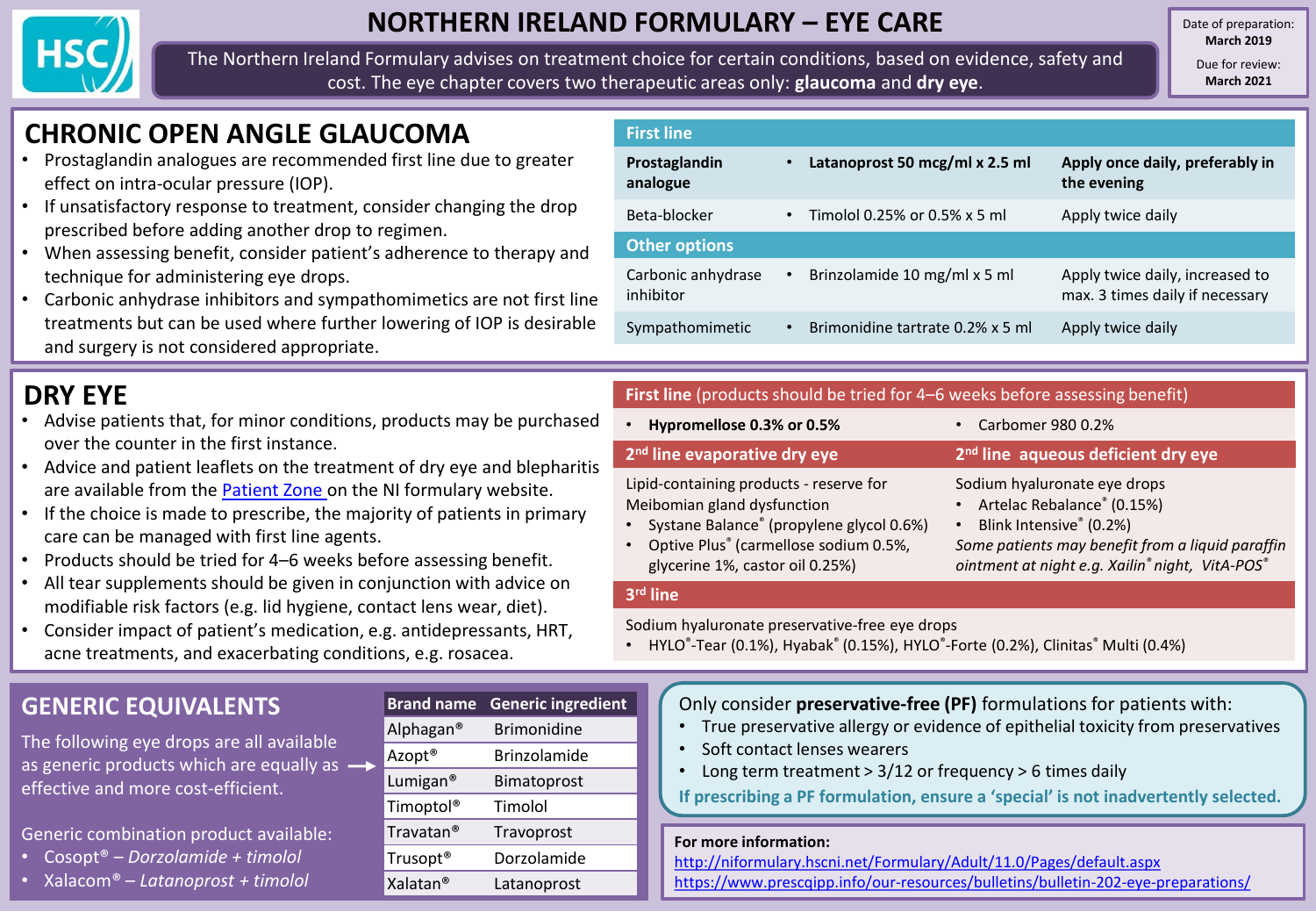

## **NORTHERN IRELAND FORMULARY – EYE CARE**

The Northern Ireland Formulary advises on treatment choice for certain conditions, based on evidence, safety and cost. The eye chapter covers two therapeutic areas only: **glaucoma** and **dry eye**.

Date of preparation: **March 2019**

> Due for review: **March 2021**

# **CHRONIC OPEN ANGLE GLAUCOMA**

- Prostaglandin analogues are recommended first line due to greater effect on intra-ocular pressure (IOP).
- If unsatisfactory response to treatment, consider changing the drop prescribed before adding another drop to regimen.
- When assessing benefit, consider patient's adherence to therapy and technique for administering eye drops.
- Carbonic anhydrase inhibitors and sympathomimetics are not first line treatments but can be used where further lowering of IOP is desirable and surgery is not considered appropriate.

# **DRY EYE**

- Advise patients that, for minor conditions, products may be purchased over the counter in the first instance.
- Advice and patient leaflets on the treatment of dry eye and blepharitis are available from the [Patient Zone o](http://niformulary.hscni.net/PatientZone/eye/Pages/default.aspx)n the NI formulary website.
- If the choice is made to prescribe, the majority of patients in primary care can be managed with first line agents.
- Products should be tried for 4–6 weeks before assessing benefit.
- All tear supplements should be given in conjunction with advice on modifiable risk factors (e.g. lid hygiene, contact lens wear, diet).
- Consider impact of patient's medication, e.g. antidepressants, HRT, acne treatments, and exacerbating conditions, e.g. rosacea.

## **GENERIC EQUIVALENTS**

The following eye drops are all available as generic products which are equally as  $$ effective and more cost-efficient.

Generic combination product available:

- Cosopt® *Dorzolamide + timolol*
- Xalacom® *Latanoprost + timolol*

| <b>Brand name</b>     | <b>Generic ingredient</b> |
|-----------------------|---------------------------|
| Alphagan <sup>®</sup> | <b>Brimonidine</b>        |
| Azopt <sup>®</sup>    | <b>Brinzolamide</b>       |
| Lumigan <sup>®</sup>  | Bimatoprost               |
| Timoptol <sup>®</sup> | Timolol                   |
| Travatan <sup>®</sup> | Travoprost                |
| Trusopt <sup>®</sup>  | Dorzolamide               |
| Xalatan <sup>®</sup>  | Latanoprost               |

| <b>First line</b>               |           |                                  |                                                                    |
|---------------------------------|-----------|----------------------------------|--------------------------------------------------------------------|
| Prostaglandin<br>analogue       | $\bullet$ | Latanoprost 50 mcg/ml x 2.5 ml   | Apply once daily, preferably in<br>the evening                     |
| Beta-blocker                    | $\bullet$ | Timolol 0.25% or 0.5% x 5 ml     | Apply twice daily                                                  |
| <b>Other options</b>            |           |                                  |                                                                    |
| Carbonic anhydrase<br>inhibitor | ٠         | Brinzolamide 10 mg/ml x 5 ml     | Apply twice daily, increased to<br>max. 3 times daily if necessary |
| Sympathomimetic                 | $\bullet$ | Brimonidine tartrate 0.2% x 5 ml | Apply twice daily                                                  |
|                                 |           |                                  |                                                                    |

### **First line** (products should be tried for 4–6 weeks before assessing benefit)

| Hypromellose 0.3% or 0.5%<br>$\bullet$                                 | • Carbomer 980 0.2%                                          |
|------------------------------------------------------------------------|--------------------------------------------------------------|
| 2 <sup>nd</sup> line evaporative dry eye                               | 2 <sup>nd</sup> line aqueous deficient dry eye               |
| Lipid-containing products - reserve for<br>Meibomian gland dysfunction | Sodium hyaluronate eye drops<br>• Artelac Rebalance® (0.15%) |
| • Systane Balance® (propylene glycol 0.6%)                             | Blink Intensive® (0.2%)<br>$\bullet$                         |
| $\bullet$ Optive Plus <sup>®</sup> (carmellese sedium 0.5%)            | Came patients may benefit from a liqu                        |

• Optive Plus® (carmellose sodium 0.5%, glycerine 1%, castor oil 0.25%)

*Some patients may benefit from a liquid paraffin ointment at night e.g. Xailin® night, VitA-POS®*

#### **3 rd line**

Sodium hyaluronate preservative-free eye drops

• HYLO®-Tear (0.1%), Hyabak® (0.15%), HYLO®-Forte (0.2%), Clinitas® Multi (0.4%)

### Only consider **preservative-free (PF)** formulations for patients with:

- True preservative allergy or evidence of epithelial toxicity from preservatives
- Soft contact lenses wearers
- Long term treatment > 3/12 or frequency > 6 times daily

**If prescribing a PF formulation, ensure a 'special' is not inadvertently selected.** 

### **For more information:**

<http://niformulary.hscni.net/Formulary/Adult/11.0/Pages/default.aspx> <https://www.prescqipp.info/our-resources/bulletins/bulletin-202-eye-preparations/>